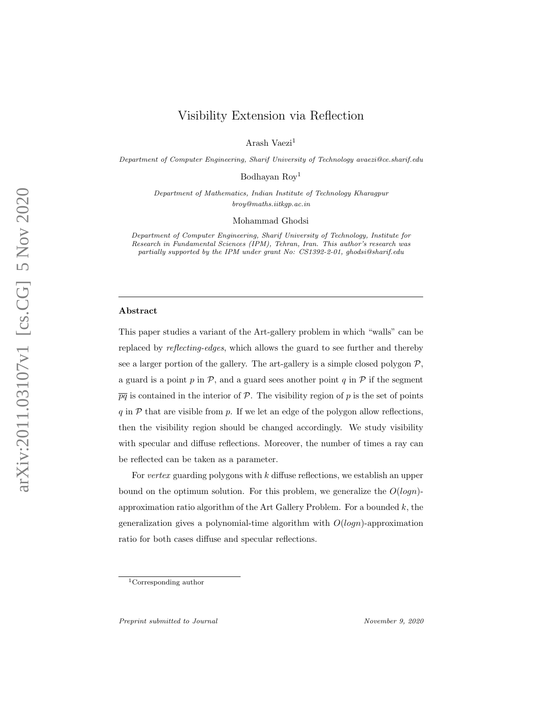# Visibility Extension via Reflection

Arash Vaezi<sup>1</sup>

Department of Computer Engineering, Sharif University of Technology avaezi@ce.sharif.edu

Bodhayan Roy<sup>1</sup>

Department of Mathematics, Indian Institute of Technology Kharagpur broy@maths.iitkgp.ac.in

Mohammad Ghodsi

Department of Computer Engineering, Sharif University of Technology, Institute for Research in Fundamental Sciences (IPM), Tehran, Iran. This author's research was partially supported by the IPM under grant No: CS1392-2-01, ghodsi@sharif.edu

#### Abstract

This paper studies a variant of the Art-gallery problem in which "walls" can be replaced by reflecting-edges, which allows the guard to see further and thereby see a larger portion of the gallery. The art-gallery is a simple closed polygon  $P$ , a guard is a point  $p$  in  $P$ , and a guard sees another point  $q$  in  $P$  if the segment  $\overline{pq}$  is contained in the interior of P. The visibility region of p is the set of points q in  $P$  that are visible from p. If we let an edge of the polygon allow reflections, then the visibility region should be changed accordingly. We study visibility with specular and diffuse reflections. Moreover, the number of times a ray can be reflected can be taken as a parameter.

For vertex guarding polygons with k diffuse reflections, we establish an upper bound on the optimum solution. For this problem, we generalize the  $O(logn)$ approximation ratio algorithm of the Art Gallery Problem. For a bounded  $k$ , the generalization gives a polynomial-time algorithm with  $O(logn)$ -approximation ratio for both cases diffuse and specular reflections.

<sup>1</sup>Corresponding author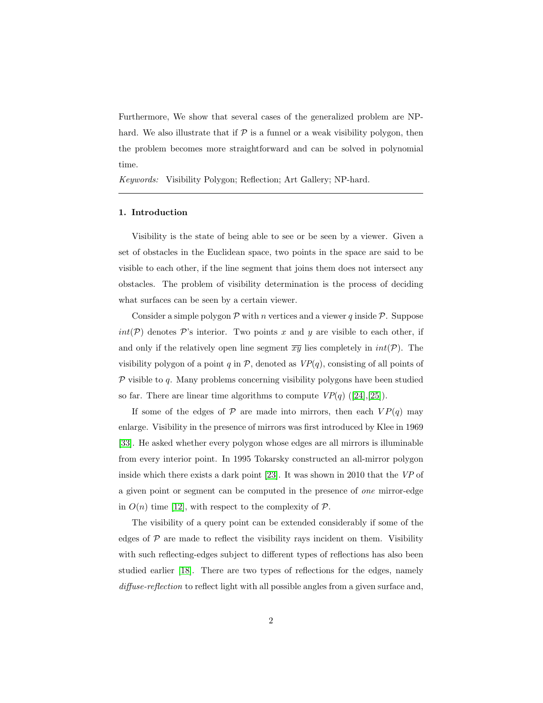Furthermore, We show that several cases of the generalized problem are NPhard. We also illustrate that if  $P$  is a funnel or a weak visibility polygon, then the problem becomes more straightforward and can be solved in polynomial time.

Keywords: Visibility Polygon; Reflection; Art Gallery; NP-hard.

#### 1. Introduction

Visibility is the state of being able to see or be seen by a viewer. Given a set of obstacles in the Euclidean space, two points in the space are said to be visible to each other, if the line segment that joins them does not intersect any obstacles. The problem of visibility determination is the process of deciding what surfaces can be seen by a certain viewer.

Consider a simple polygon  $\mathcal P$  with n vertices and a viewer q inside  $\mathcal P$ . Suppose  $int(\mathcal{P})$  denotes  $\mathcal{P}$ 's interior. Two points x and y are visible to each other, if and only if the relatively open line segment  $\overline{xy}$  lies completely in  $int(\mathcal{P})$ . The visibility polygon of a point q in  $P$ , denoted as  $VP(q)$ , consisting of all points of  $P$  visible to  $q$ . Many problems concerning visibility polygons have been studied so far. There are linear time algorithms to compute  $VP(q)$  ([\[24\]](#page-30-0),[\[25\]](#page-30-1)).

If some of the edges of  $P$  are made into mirrors, then each  $VP(q)$  may enlarge. Visibility in the presence of mirrors was first introduced by Klee in 1969 [\[33\]](#page-31-0). He asked whether every polygon whose edges are all mirrors is illuminable from every interior point. In 1995 Tokarsky constructed an all-mirror polygon inside which there exists a dark point [\[23\]](#page-30-2). It was shown in 2010 that the VP of a given point or segment can be computed in the presence of one mirror-edge in  $O(n)$  time [\[12\]](#page-29-0), with respect to the complexity of  $P$ .

The visibility of a query point can be extended considerably if some of the edges of  $\mathcal P$  are made to reflect the visibility rays incident on them. Visibility with such reflecting-edges subject to different types of reflections has also been studied earlier [\[18\]](#page-30-3). There are two types of reflections for the edges, namely diffuse-reflection to reflect light with all possible angles from a given surface and,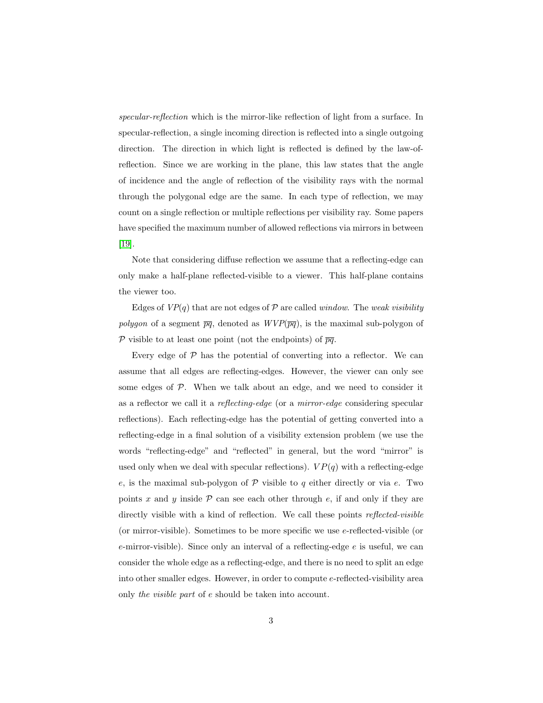specular-reflection which is the mirror-like reflection of light from a surface. In specular-reflection, a single incoming direction is reflected into a single outgoing direction. The direction in which light is reflected is defined by the law-ofreflection. Since we are working in the plane, this law states that the angle of incidence and the angle of reflection of the visibility rays with the normal through the polygonal edge are the same. In each type of reflection, we may count on a single reflection or multiple reflections per visibility ray. Some papers have specified the maximum number of allowed reflections via mirrors in between [\[19\]](#page-30-4).

Note that considering diffuse reflection we assume that a reflecting-edge can only make a half-plane reflected-visible to a viewer. This half-plane contains the viewer too.

Edges of  $VP(q)$  that are not edges of P are called *window*. The *weak visibility* polygon of a segment  $\overline{pq}$ , denoted as  $WVP(\overline{pq})$ , is the maximal sub-polygon of P visible to at least one point (not the endpoints) of  $\overline{pq}$ .

Every edge of  $P$  has the potential of converting into a reflector. We can assume that all edges are reflecting-edges. However, the viewer can only see some edges of  $P$ . When we talk about an edge, and we need to consider it as a reflector we call it a reflecting-edge (or a mirror-edge considering specular reflections). Each reflecting-edge has the potential of getting converted into a reflecting-edge in a final solution of a visibility extension problem (we use the words "reflecting-edge" and "reflected" in general, but the word "mirror" is used only when we deal with specular reflections).  $VP(q)$  with a reflecting-edge e, is the maximal sub-polygon of  $P$  visible to  $q$  either directly or via  $e$ . Two points x and y inside  $P$  can see each other through e, if and only if they are directly visible with a kind of reflection. We call these points *reflected-visible* (or mirror-visible). Sometimes to be more specific we use e-reflected-visible (or  $e$ -mirror-visible). Since only an interval of a reflecting-edge  $e$  is useful, we can consider the whole edge as a reflecting-edge, and there is no need to split an edge into other smaller edges. However, in order to compute e-reflected-visibility area only the visible part of e should be taken into account.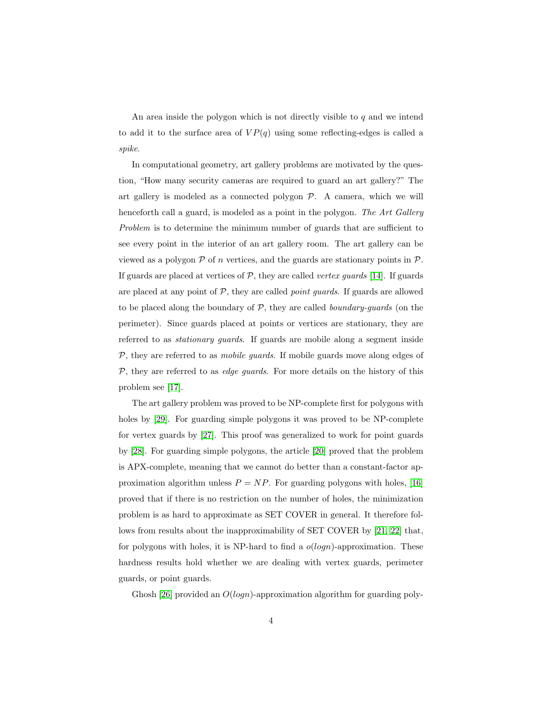An area inside the polygon which is not directly visible to  $q$  and we intend to add it to the surface area of  $VP(q)$  using some reflecting-edges is called a spike.

In computational geometry, art gallery problems are motivated by the question, "How many security cameras are required to guard an art gallery?" The art gallery is modeled as a connected polygon  $P$ . A camera, which we will henceforth call a guard, is modeled as a point in the polygon. The Art Gallery Problem is to determine the minimum number of guards that are sufficient to see every point in the interior of an art gallery room. The art gallery can be viewed as a polygon  $P$  of n vertices, and the guards are stationary points in  $P$ . If guards are placed at vertices of  $P$ , they are called *vertex quards* [\[14\]](#page-29-1). If guards are placed at any point of  $P$ , they are called *point guards*. If guards are allowed to be placed along the boundary of  $P$ , they are called *boundary-guards* (on the perimeter). Since guards placed at points or vertices are stationary, they are referred to as stationary guards. If guards are mobile along a segment inside  $P$ , they are referred to as *mobile guards*. If mobile guards move along edges of  $P$ , they are referred to as *edge guards*. For more details on the history of this problem see [\[17\]](#page-30-5).

The art gallery problem was proved to be NP-complete first for polygons with holes by [\[29\]](#page-31-1). For guarding simple polygons it was proved to be NP-complete for vertex guards by [\[27\]](#page-31-2). This proof was generalized to work for point guards by [\[28\]](#page-31-3). For guarding simple polygons, the article [\[20\]](#page-30-6) proved that the problem is APX-complete, meaning that we cannot do better than a constant-factor approximation algorithm unless  $P = NP$ . For guarding polygons with holes, [\[16\]](#page-30-7) proved that if there is no restriction on the number of holes, the minimization problem is as hard to approximate as SET COVER in general. It therefore follows from results about the inapproximability of SET COVER by [\[21,](#page-30-8) [22\]](#page-30-9) that, for polygons with holes, it is NP-hard to find a  $o(logn)$ -approximation. These hardness results hold whether we are dealing with vertex guards, perimeter guards, or point guards.

Ghosh [\[26\]](#page-30-10) provided an  $O(logn)$ -approximation algorithm for guarding poly-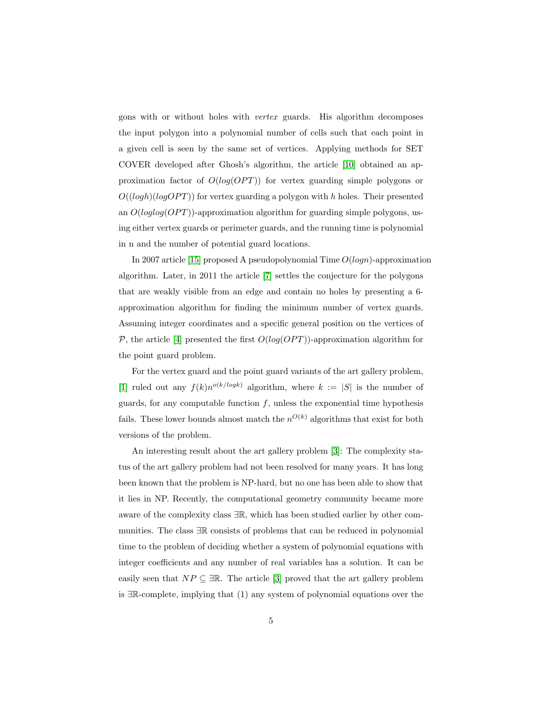gons with or without holes with vertex guards. His algorithm decomposes the input polygon into a polynomial number of cells such that each point in a given cell is seen by the same set of vertices. Applying methods for SET COVER developed after Ghosh's algorithm, the article [\[10\]](#page-29-2) obtained an approximation factor of  $O(log(OPT))$  for vertex guarding simple polygons or  $O((\log h)(\log OPT))$  for vertex guarding a polygon with h holes. Their presented an  $O(loglog(OPT))$ -approximation algorithm for guarding simple polygons, using either vertex guards or perimeter guards, and the running time is polynomial in n and the number of potential guard locations.

In 2007 article [\[15\]](#page-30-11) proposed A pseudopolynomial Time  $O(logn)$ -approximation algorithm. Later, in 2011 the article [\[7\]](#page-29-3) settles the conjecture for the polygons that are weakly visible from an edge and contain no holes by presenting a 6 approximation algorithm for finding the minimum number of vertex guards. Assuming integer coordinates and a specific general position on the vertices of P, the article [\[4\]](#page-28-0) presented the first  $O(log(OPT))$ -approximation algorithm for the point guard problem.

For the vertex guard and the point guard variants of the art gallery problem, [\[1\]](#page-28-1) ruled out any  $f(k)n^{o(k/log k)}$  algorithm, where  $k := |S|$  is the number of guards, for any computable function  $f$ , unless the exponential time hypothesis fails. These lower bounds almost match the  $n^{O(k)}$  algorithms that exist for both versions of the problem.

An interesting result about the art gallery problem [\[3\]](#page-28-2): The complexity status of the art gallery problem had not been resolved for many years. It has long been known that the problem is NP-hard, but no one has been able to show that it lies in NP. Recently, the computational geometry community became more aware of the complexity class <sup>∃</sup>R, which has been studied earlier by other communities. The class <sup>∃</sup><sup>R</sup> consists of problems that can be reduced in polynomial time to the problem of deciding whether a system of polynomial equations with integer coefficients and any number of real variables has a solution. It can be easily seen that  $NP \subseteq \exists \mathbb{R}$ . The article [\[3\]](#page-28-2) proved that the art gallery problem is <sup>∃</sup>R-complete, implying that (1) any system of polynomial equations over the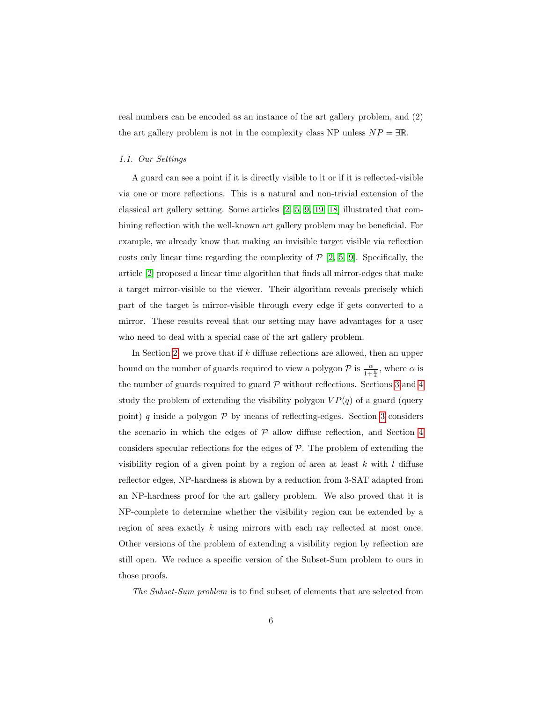real numbers can be encoded as an instance of the art gallery problem, and (2) the art gallery problem is not in the complexity class NP unless  $NP = \exists \mathbb{R}$ .

#### 1.1. Our Settings

A guard can see a point if it is directly visible to it or if it is reflected-visible via one or more reflections. This is a natural and non-trivial extension of the classical art gallery setting. Some articles [\[2,](#page-28-3) [5,](#page-29-4) [9,](#page-29-5) [19,](#page-30-4) [18\]](#page-30-3) illustrated that combining reflection with the well-known art gallery problem may be beneficial. For example, we already know that making an invisible target visible via reflection costs only linear time regarding the complexity of  $P$  [\[2,](#page-28-3) [5,](#page-29-4) [9\]](#page-29-5). Specifically, the article [\[2\]](#page-28-3) proposed a linear time algorithm that finds all mirror-edges that make a target mirror-visible to the viewer. Their algorithm reveals precisely which part of the target is mirror-visible through every edge if gets converted to a mirror. These results reveal that our setting may have advantages for a user who need to deal with a special case of the art gallery problem.

In Section [2,](#page-6-0) we prove that if k diffuse reflections are allowed, then an upper bound on the number of guards required to view a polygon  $\mathcal P$  is  $\frac{\alpha}{1+\frac{k}{4}}$ , where  $\alpha$  is the number of guards required to guard  $P$  without reflections. Sections [3](#page-10-0) and [4](#page-12-0) study the problem of extending the visibility polygon  $VP(q)$  of a guard (query point) q inside a polygon  $P$  by means of reflecting-edges. Section [3](#page-10-0) considers the scenario in which the edges of  $P$  allow diffuse reflection, and Section [4](#page-12-0) considers specular reflections for the edges of  $P$ . The problem of extending the visibility region of a given point by a region of area at least  $k$  with  $l$  diffuse reflector edges, NP-hardness is shown by a reduction from 3-SAT adapted from an NP-hardness proof for the art gallery problem. We also proved that it is NP-complete to determine whether the visibility region can be extended by a region of area exactly k using mirrors with each ray reflected at most once. Other versions of the problem of extending a visibility region by reflection are still open. We reduce a specific version of the Subset-Sum problem to ours in those proofs.

The Subset-Sum problem is to find subset of elements that are selected from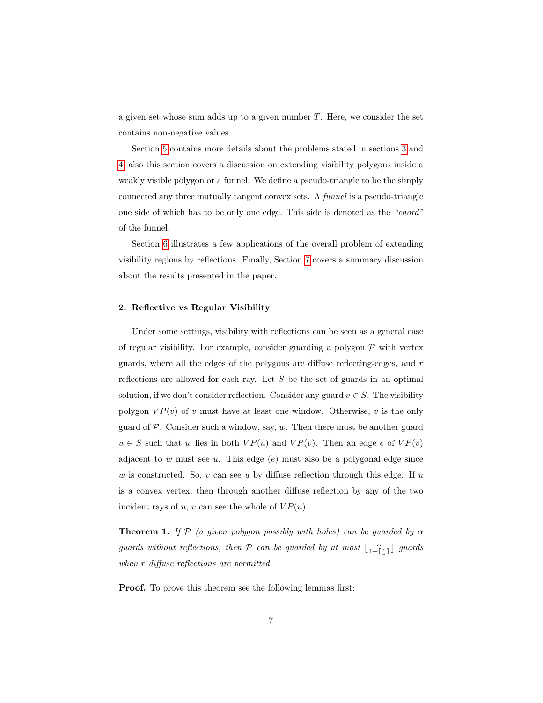a given set whose sum adds up to a given number  $T$ . Here, we consider the set contains non-negative values.

Section [5](#page-20-0) contains more details about the problems stated in sections [3](#page-10-0) and [4,](#page-12-0) also this section covers a discussion on extending visibility polygons inside a weakly visible polygon or a funnel. We define a pseudo-triangle to be the simply connected any three mutually tangent convex sets. A funnel is a pseudo-triangle one side of which has to be only one edge. This side is denoted as the "chord" of the funnel.

Section [6](#page-25-0) illustrates a few applications of the overall problem of extending visibility regions by reflections. Finally, Section [7](#page-27-0) covers a summary discussion about the results presented in the paper.

# <span id="page-6-0"></span>2. Reflective vs Regular Visibility

Under some settings, visibility with reflections can be seen as a general case of regular visibility. For example, consider guarding a polygon  $P$  with vertex guards, where all the edges of the polygons are diffuse reflecting-edges, and r reflections are allowed for each ray. Let  $S$  be the set of guards in an optimal solution, if we don't consider reflection. Consider any guard  $v \in S$ . The visibility polygon  $VP(v)$  of v must have at least one window. Otherwise, v is the only guard of  $P$ . Consider such a window, say,  $w$ . Then there must be another guard  $u \in S$  such that w lies in both  $VP(u)$  and  $VP(v)$ . Then an edge e of  $VP(v)$ adjacent to w must see u. This edge  $(e)$  must also be a polygonal edge since w is constructed. So, v can see u by diffuse reflection through this edge. If u is a convex vertex, then through another diffuse reflection by any of the two incident rays of  $u, v$  can see the whole of  $VP(u)$ .

<span id="page-6-2"></span>**Theorem 1.** If  $P$  (a given polygon possibly with holes) can be guarded by  $\alpha$ guards without reflections, then  $P$  can be guarded by at most  $\lfloor \frac{\alpha}{1+\lceil\frac{r}{4}\rceil}\rfloor$  guards when r diffuse reflections are permitted.

<span id="page-6-1"></span>Proof. To prove this theorem see the following lemmas first: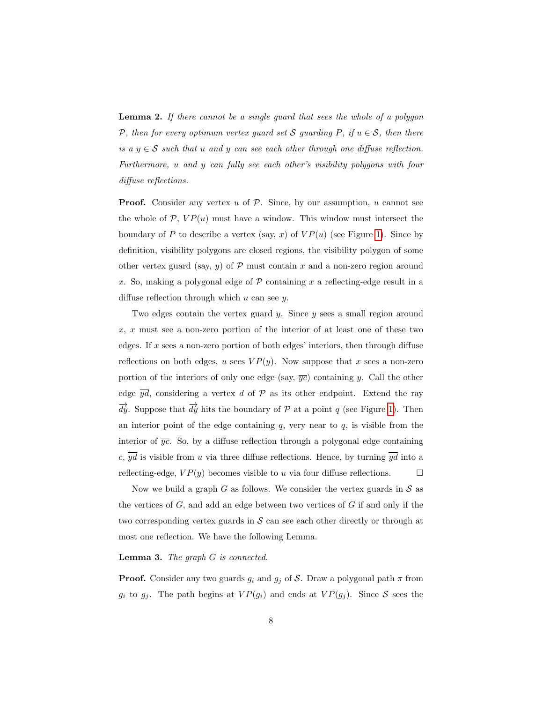**Lemma 2.** If there cannot be a single guard that sees the whole of a polygon P, then for every optimum vertex guard set S guarding P, if  $u \in S$ , then there is a  $y \in S$  such that u and y can see each other through one diffuse reflection. Furthermore, u and y can fully see each other's visibility polygons with four diffuse reflections.

**Proof.** Consider any vertex  $u$  of  $P$ . Since, by our assumption,  $u$  cannot see the whole of  $P$ ,  $VP(u)$  must have a window. This window must intersect the boundary of P to describe a vertex (say, x) of  $VP(u)$  (see Figure [1\)](#page-8-0). Since by definition, visibility polygons are closed regions, the visibility polygon of some other vertex guard (say, y) of  $P$  must contain x and a non-zero region around x. So, making a polygonal edge of  $P$  containing x a reflecting-edge result in a diffuse reflection through which  $u$  can see  $y$ .

Two edges contain the vertex guard  $y$ . Since  $y$  sees a small region around x, x must see a non-zero portion of the interior of at least one of these two edges. If  $x$  sees a non-zero portion of both edges' interiors, then through diffuse reflections on both edges, u sees  $VP(y)$ . Now suppose that x sees a non-zero portion of the interiors of only one edge (say,  $\overline{yc}$ ) containing y. Call the other edge  $\overline{yd}$ , considering a vertex d of  $\mathcal P$  as its other endpoint. Extend the ray  $\overrightarrow{dy}$ . Suppose that  $\overrightarrow{dy}$  hits the boundary of P at a point q (see Figure [1\)](#page-8-0). Then an interior point of the edge containing  $q$ , very near to  $q$ , is visible from the interior of  $\overline{yc}$ . So, by a diffuse reflection through a polygonal edge containing c,  $\overline{yd}$  is visible from u via three diffuse reflections. Hence, by turning  $\overline{yd}$  into a reflecting-edge,  $VP(y)$  becomes visible to u via four diffuse reflections.  $\square$ 

Now we build a graph G as follows. We consider the vertex guards in  $S$  as the vertices of  $G$ , and add an edge between two vertices of  $G$  if and only if the two corresponding vertex guards in  $S$  can see each other directly or through at most one reflection. We have the following Lemma.

## <span id="page-7-0"></span>Lemma 3. The graph G is connected.

**Proof.** Consider any two guards  $g_i$  and  $g_j$  of S. Draw a polygonal path  $\pi$  from  $g_i$  to  $g_j$ . The path begins at  $VP(g_i)$  and ends at  $VP(g_j)$ . Since S sees the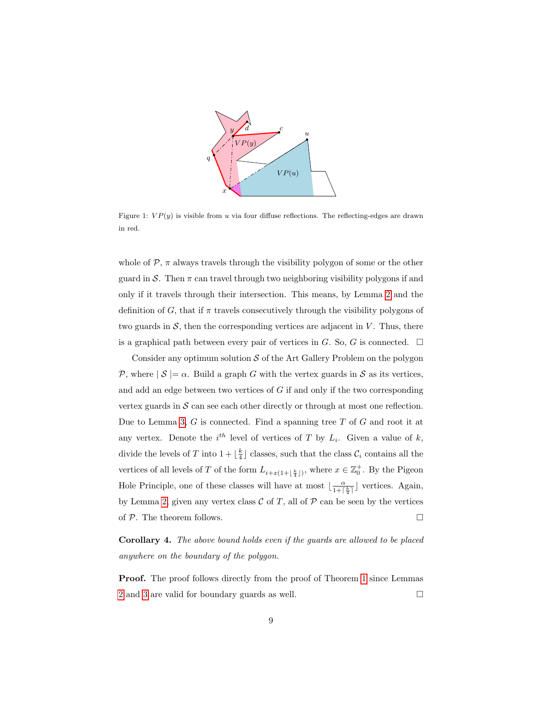

<span id="page-8-0"></span>Figure 1:  $VP(y)$  is visible from u via four diffuse reflections. The reflecting-edges are drawn in red.

whole of  $P$ ,  $\pi$  always travels through the visibility polygon of some or the other guard in S. Then  $\pi$  can travel through two neighboring visibility polygons if and only if it travels through their intersection. This means, by Lemma [2](#page-6-1) and the definition of G, that if  $\pi$  travels consecutively through the visibility polygons of two guards in  $S$ , then the corresponding vertices are adjacent in  $V$ . Thus, there is a graphical path between every pair of vertices in G. So, G is connected.  $\Box$ 

Consider any optimum solution  $S$  of the Art Gallery Problem on the polygon P, where  $|S| = \alpha$ . Build a graph G with the vertex guards in S as its vertices, and add an edge between two vertices of  $G$  if and only if the two corresponding vertex guards in  $S$  can see each other directly or through at most one reflection. Due to Lemma [3,](#page-7-0)  $G$  is connected. Find a spanning tree  $T$  of  $G$  and root it at any vertex. Denote the  $i^{th}$  level of vertices of T by  $L_i$ . Given a value of k, divide the levels of T into  $1 + \lfloor \frac{k}{4} \rfloor$  classes, such that the class  $\mathcal{C}_i$  contains all the vertices of all levels of T of the form  $L_{i+x(1+\lfloor\frac{k}{4}\rfloor)}$ , where  $x \in \mathbb{Z}_0^+$ . By the Pigeon Hole Principle, one of these classes will have at most  $\lfloor \frac{\alpha}{1+\lceil} \rfloor$  $\frac{\alpha}{1+\lceil \frac{k}{4}\rceil}$  vertices. Again, by Lemma [2,](#page-6-1) given any vertex class  $\mathcal C$  of T, all of  $\mathcal P$  can be seen by the vertices of  $P$ . The theorem follows.

Corollary 4. The above bound holds even if the guards are allowed to be placed anywhere on the boundary of the polygon.

Proof. The proof follows directly from the proof of Theorem [1](#page-6-2) since Lemmas [2](#page-6-1) and [3](#page-7-0) are valid for boundary guards as well.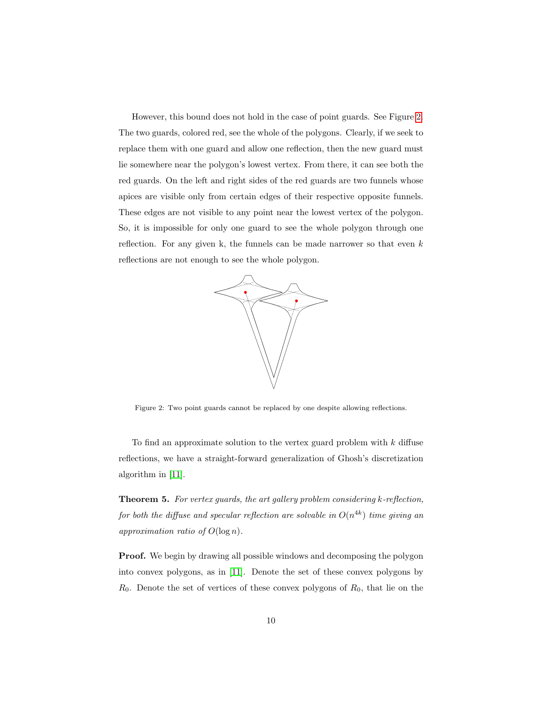However, this bound does not hold in the case of point guards. See Figure [2.](#page-9-0) The two guards, colored red, see the whole of the polygons. Clearly, if we seek to replace them with one guard and allow one reflection, then the new guard must lie somewhere near the polygon's lowest vertex. From there, it can see both the red guards. On the left and right sides of the red guards are two funnels whose apices are visible only from certain edges of their respective opposite funnels. These edges are not visible to any point near the lowest vertex of the polygon. So, it is impossible for only one guard to see the whole polygon through one reflection. For any given k, the funnels can be made narrower so that even  $k$ reflections are not enough to see the whole polygon.



<span id="page-9-0"></span>Figure 2: Two point guards cannot be replaced by one despite allowing reflections.

To find an approximate solution to the vertex guard problem with k diffuse reflections, we have a straight-forward generalization of Ghosh's discretization algorithm in [\[11\]](#page-29-6).

Theorem 5. For vertex guards, the art gallery problem considering k-reflection, for both the diffuse and specular reflection are solvable in  $O(n^{4k})$  time giving an approximation ratio of  $O(\log n)$ .

Proof. We begin by drawing all possible windows and decomposing the polygon into convex polygons, as in [\[11\]](#page-29-6). Denote the set of these convex polygons by  $R_0$ . Denote the set of vertices of these convex polygons of  $R_0$ , that lie on the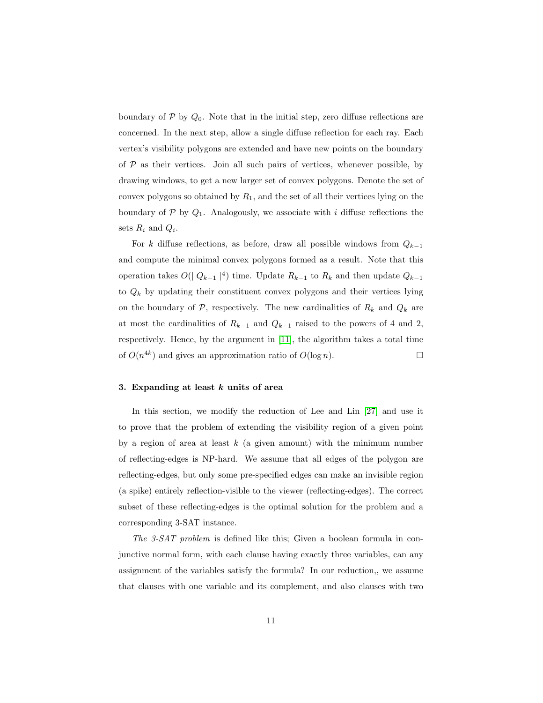boundary of  $P$  by  $Q_0$ . Note that in the initial step, zero diffuse reflections are concerned. In the next step, allow a single diffuse reflection for each ray. Each vertex's visibility polygons are extended and have new points on the boundary of  $P$  as their vertices. Join all such pairs of vertices, whenever possible, by drawing windows, to get a new larger set of convex polygons. Denote the set of convex polygons so obtained by  $R_1$ , and the set of all their vertices lying on the boundary of  $P$  by  $Q_1$ . Analogously, we associate with i diffuse reflections the sets  $R_i$  and  $Q_i$ .

For k diffuse reflections, as before, draw all possible windows from  $Q_{k-1}$ and compute the minimal convex polygons formed as a result. Note that this operation takes  $O(|Q_{k-1}|^4)$  time. Update  $R_{k-1}$  to  $R_k$  and then update  $Q_{k-1}$ to  $Q_k$  by updating their constituent convex polygons and their vertices lying on the boundary of  $P$ , respectively. The new cardinalities of  $R_k$  and  $Q_k$  are at most the cardinalities of  $R_{k-1}$  and  $Q_{k-1}$  raised to the powers of 4 and 2, respectively. Hence, by the argument in [\[11\]](#page-29-6), the algorithm takes a total time of  $O(n^{4k})$  and gives an approximation ratio of  $O(\log n)$ .

# <span id="page-10-0"></span>3. Expanding at least  $k$  units of area

In this section, we modify the reduction of Lee and Lin [\[27\]](#page-31-2) and use it to prove that the problem of extending the visibility region of a given point by a region of area at least  $k$  (a given amount) with the minimum number of reflecting-edges is NP-hard. We assume that all edges of the polygon are reflecting-edges, but only some pre-specified edges can make an invisible region (a spike) entirely reflection-visible to the viewer (reflecting-edges). The correct subset of these reflecting-edges is the optimal solution for the problem and a corresponding 3-SAT instance.

The 3-SAT problem is defined like this; Given a boolean formula in conjunctive normal form, with each clause having exactly three variables, can any assignment of the variables satisfy the formula? In our reduction,, we assume that clauses with one variable and its complement, and also clauses with two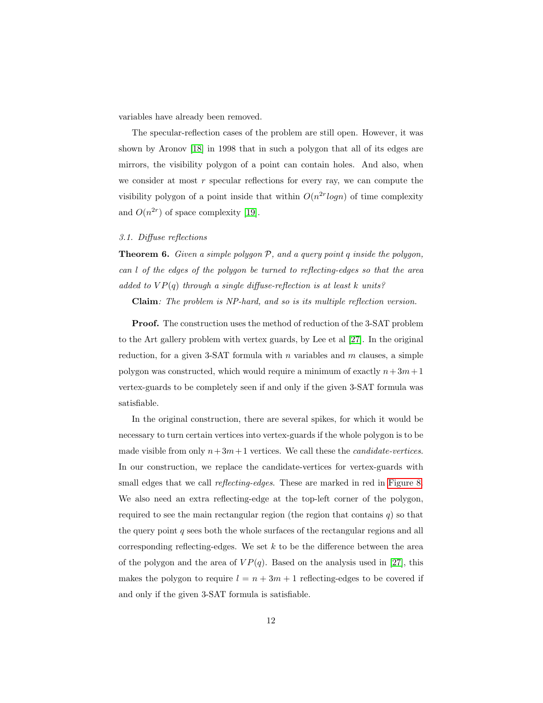variables have already been removed.

The specular-reflection cases of the problem are still open. However, it was shown by Aronov [\[18\]](#page-30-3) in 1998 that in such a polygon that all of its edges are mirrors, the visibility polygon of a point can contain holes. And also, when we consider at most  $r$  specular reflections for every ray, we can compute the visibility polygon of a point inside that within  $O(n^{2r} \log n)$  of time complexity and  $O(n^{2r})$  of space complexity [\[19\]](#page-30-4).

# 3.1. Diffuse reflections

**Theorem 6.** Given a simple polygon  $P$ , and a query point q inside the polygon, can l of the edges of the polygon be turned to reflecting-edges so that the area added to  $VP(q)$  through a single diffuse-reflection is at least k units?

Claim: The problem is NP-hard, and so is its multiple reflection version.

Proof. The construction uses the method of reduction of the 3-SAT problem to the Art gallery problem with vertex guards, by Lee et al [\[27\]](#page-31-2). In the original reduction, for a given 3-SAT formula with  $n$  variables and  $m$  clauses, a simple polygon was constructed, which would require a minimum of exactly  $n+3m+1$ vertex-guards to be completely seen if and only if the given 3-SAT formula was satisfiable.

In the original construction, there are several spikes, for which it would be necessary to turn certain vertices into vertex-guards if the whole polygon is to be made visible from only  $n+3m+1$  vertices. We call these the *candidate-vertices*. In our construction, we replace the candidate-vertices for vertex-guards with small edges that we call *reflecting-edges*. These are marked in red in [Figure 8.](#page-23-0) We also need an extra reflecting-edge at the top-left corner of the polygon, required to see the main rectangular region (the region that contains  $q$ ) so that the query point  $q$  sees both the whole surfaces of the rectangular regions and all corresponding reflecting-edges. We set  $k$  to be the difference between the area of the polygon and the area of  $VP(q)$ . Based on the analysis used in [\[27\]](#page-31-2), this makes the polygon to require  $l = n + 3m + 1$  reflecting-edges to be covered if and only if the given 3-SAT formula is satisfiable.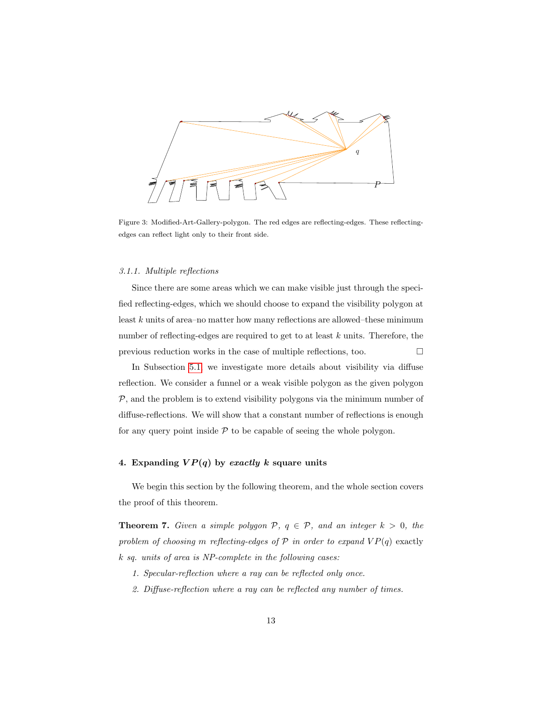

Figure 3: Modified-Art-Gallery-polygon. The red edges are reflecting-edges. These reflectingedges can reflect light only to their front side.

# 3.1.1. Multiple reflections

Since there are some areas which we can make visible just through the specified reflecting-edges, which we should choose to expand the visibility polygon at least  $k$  units of area–no matter how many reflections are allowed–these minimum number of reflecting-edges are required to get to at least k units. Therefore, the previous reduction works in the case of multiple reflections, too.  $\Box$ 

In Subsection [5.1,](#page-20-1) we investigate more details about visibility via diffuse reflection. We consider a funnel or a weak visible polygon as the given polygon  $P$ , and the problem is to extend visibility polygons via the minimum number of diffuse-reflections. We will show that a constant number of reflections is enough for any query point inside  $P$  to be capable of seeing the whole polygon.

# <span id="page-12-0"></span>4. Expanding  $VP(q)$  by exactly k square units

<span id="page-12-1"></span>We begin this section by the following theorem, and the whole section covers the proof of this theorem.

**Theorem 7.** Given a simple polygon  $P$ ,  $q \in P$ , and an integer  $k > 0$ , the problem of choosing m reflecting-edges of  $P$  in order to expand  $VP(q)$  exactly k sq. units of area is NP-complete in the following cases:

- 1. Specular-reflection where a ray can be reflected only once.
- 2. Diffuse-reflection where a ray can be reflected any number of times.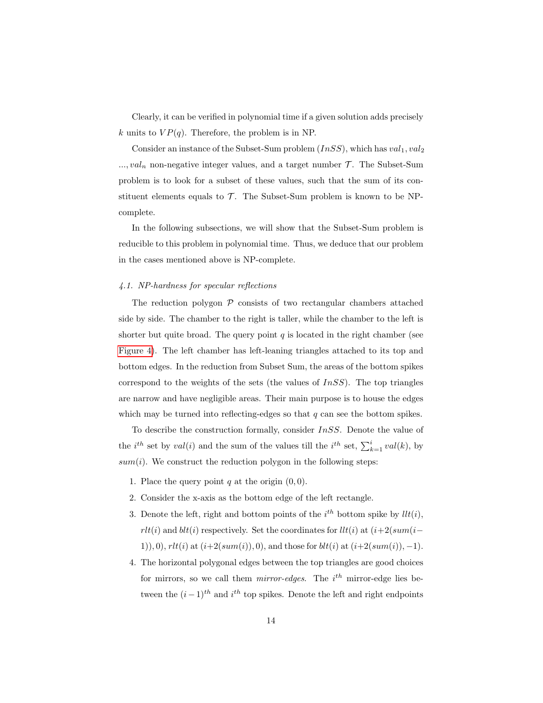Clearly, it can be verified in polynomial time if a given solution adds precisely k units to  $VP(q)$ . Therefore, the problem is in NP.

Consider an instance of the Subset-Sum problem  $(InsS)$ , which has  $val_1, val_2$  $..., val_n$  non-negative integer values, and a target number  $\mathcal{T}$ . The Subset-Sum problem is to look for a subset of these values, such that the sum of its constituent elements equals to  $\mathcal T$ . The Subset-Sum problem is known to be NPcomplete.

In the following subsections, we will show that the Subset-Sum problem is reducible to this problem in polynomial time. Thus, we deduce that our problem in the cases mentioned above is NP-complete.

#### <span id="page-13-0"></span>4.1. NP-hardness for specular reflections

The reduction polygon  $P$  consists of two rectangular chambers attached side by side. The chamber to the right is taller, while the chamber to the left is shorter but quite broad. The query point  $q$  is located in the right chamber (see [Figure 4\)](#page-14-0). The left chamber has left-leaning triangles attached to its top and bottom edges. In the reduction from Subset Sum, the areas of the bottom spikes correspond to the weights of the sets (the values of  $InSS$ ). The top triangles are narrow and have negligible areas. Their main purpose is to house the edges which may be turned into reflecting-edges so that  $q$  can see the bottom spikes.

To describe the construction formally, consider InSS. Denote the value of the *i*<sup>th</sup> set by  $val(i)$  and the sum of the values till the *i*<sup>th</sup> set,  $\sum_{k=1}^{i} val(k)$ , by  $sum(i)$ . We construct the reduction polygon in the following steps:

- 1. Place the query point  $q$  at the origin  $(0, 0)$ .
- 2. Consider the x-axis as the bottom edge of the left rectangle.
- 3. Denote the left, right and bottom points of the  $i^{th}$  bottom spike by  $llt(i)$ , rlt(i) and blt(i) respectively. Set the coordinates for  $llt(i)$  at  $(i+2(sum(i-$ 1), 0),  $rlt(i)$  at  $(i+2(sum(i)), 0)$ , and those for  $blt(i)$  at  $(i+2(sum(i)), -1)$ .
- 4. The horizontal polygonal edges between the top triangles are good choices for mirrors, so we call them  $mirror-edges$ . The  $i<sup>th</sup>$  mirror-edge lies between the  $(i-1)$ <sup>th</sup> and  $i$ <sup>th</sup> top spikes. Denote the left and right endpoints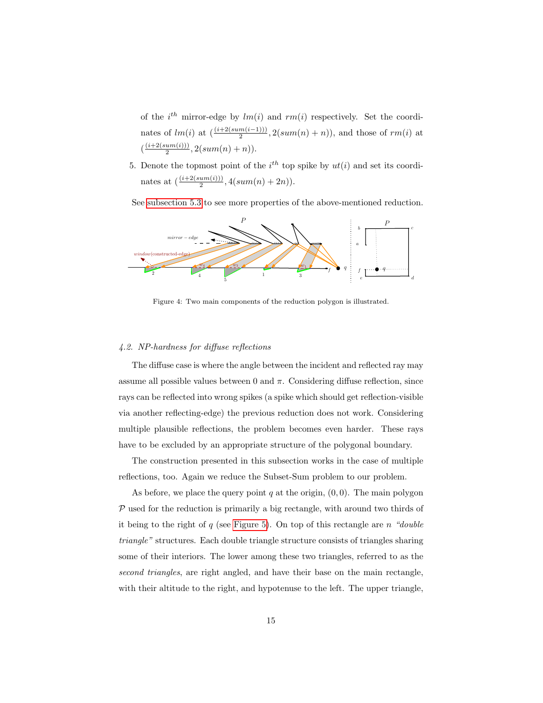of the  $i^{th}$  mirror-edge by  $lm(i)$  and  $rm(i)$  respectively. Set the coordinates of  $lm(i)$  at  $\left(\frac{(i+2(sum(i-1)))}{2}, 2(sum(n) + n)\right)$ , and those of  $rm(i)$  at  $\left(\frac{\left(i+2\left(sum(i)\right)\right)}{2}\right)$  $\frac{u(m(v))}{2}, 2(sum(n) + n)).$ 

5. Denote the topmost point of the  $i<sup>th</sup>$  top spike by  $ut(i)$  and set its coordinates at  $\left(\frac{(i+2(sum(i)))}{2}, 4(sum(n) + 2n)\right)$ .

See [subsection 5.3](#page-23-1) to see more properties of the above-mentioned reduction.



<span id="page-14-0"></span>Figure 4: Two main components of the reduction polygon is illustrated.

# <span id="page-14-1"></span>4.2. NP-hardness for diffuse reflections

The diffuse case is where the angle between the incident and reflected ray may assume all possible values between 0 and  $\pi$ . Considering diffuse reflection, since rays can be reflected into wrong spikes (a spike which should get reflection-visible via another reflecting-edge) the previous reduction does not work. Considering multiple plausible reflections, the problem becomes even harder. These rays have to be excluded by an appropriate structure of the polygonal boundary.

The construction presented in this subsection works in the case of multiple reflections, too. Again we reduce the Subset-Sum problem to our problem.

As before, we place the query point  $q$  at the origin,  $(0, 0)$ . The main polygon  $P$  used for the reduction is primarily a big rectangle, with around two thirds of it being to the right of  $q$  (see [Figure 5\)](#page-15-0). On top of this rectangle are n "double triangle" structures. Each double triangle structure consists of triangles sharing some of their interiors. The lower among these two triangles, referred to as the second triangles, are right angled, and have their base on the main rectangle, with their altitude to the right, and hypotenuse to the left. The upper triangle,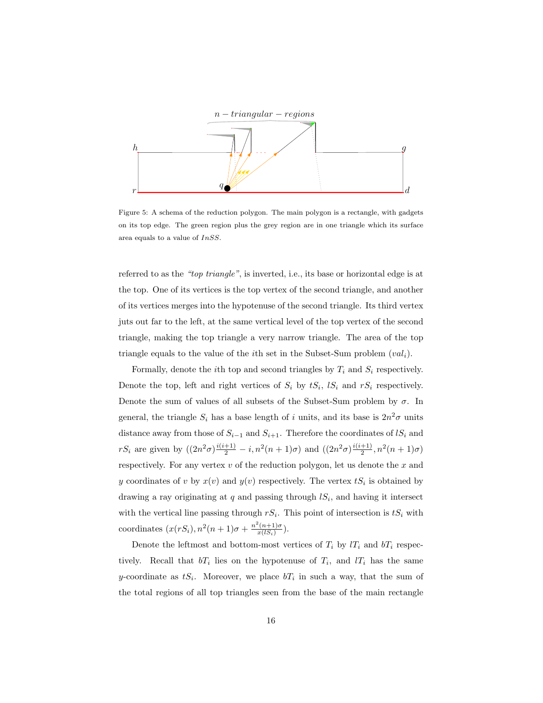

<span id="page-15-0"></span>Figure 5: A schema of the reduction polygon. The main polygon is a rectangle, with gadgets on its top edge. The green region plus the grey region are in one triangle which its surface area equals to a value of InSS.

referred to as the "top triangle", is inverted, i.e., its base or horizontal edge is at the top. One of its vertices is the top vertex of the second triangle, and another of its vertices merges into the hypotenuse of the second triangle. Its third vertex juts out far to the left, at the same vertical level of the top vertex of the second triangle, making the top triangle a very narrow triangle. The area of the top triangle equals to the value of the *i*th set in the Subset-Sum problem  $(val_i)$ .

Formally, denote the *i*th top and second triangles by  $T_i$  and  $S_i$  respectively. Denote the top, left and right vertices of  $S_i$  by  $tS_i$ ,  $lS_i$  and  $rS_i$  respectively. Denote the sum of values of all subsets of the Subset-Sum problem by  $\sigma$ . In general, the triangle  $S_i$  has a base length of i units, and its base is  $2n^2\sigma$  units distance away from those of  $S_{i-1}$  and  $S_{i+1}$ . Therefore the coordinates of  $lS_i$  and  $rS_i$  are given by  $((2n^2\sigma)\frac{i(i+1)}{2} - i, n^2(n+1)\sigma)$  and  $((2n^2\sigma)\frac{i(i+1)}{2}$  $\frac{+1)}{2}$ ,  $n^2(n+1)\sigma$ ) respectively. For any vertex  $v$  of the reduction polygon, let us denote the  $x$  and y coordinates of v by  $x(v)$  and  $y(v)$  respectively. The vertex  $tS_i$  is obtained by drawing a ray originating at  $q$  and passing through  $lS_i$ , and having it intersect with the vertical line passing through  $rS_i$ . This point of intersection is  $tS_i$  with coordinates  $(x(rS_i), n^2(n+1)\sigma + \frac{n^2(n+1)\sigma}{x(lS_i)})$  $\frac{(n+1)\sigma}{x(lS_i)}$ ).

Denote the leftmost and bottom-most vertices of  $T_i$  by  $lT_i$  and  $bT_i$  respectively. Recall that  $bT_i$  lies on the hypotenuse of  $T_i$ , and  $lT_i$  has the same y-coordinate as  $tS_i$ . Moreover, we place  $bT_i$  in such a way, that the sum of the total regions of all top triangles seen from the base of the main rectangle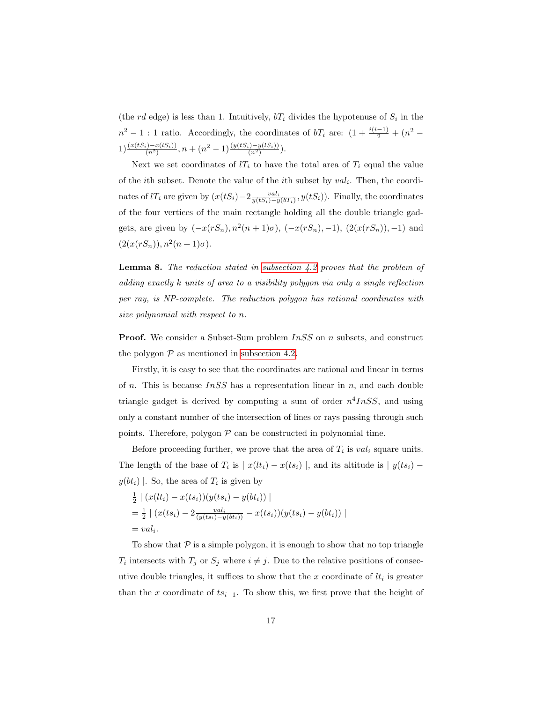(the rd edge) is less than 1. Intuitively,  $bT_i$  divides the hypotenuse of  $S_i$  in the  $n^2 - 1$ : 1 ratio. Accordingly, the coordinates of  $bT_i$  are:  $(1 + \frac{i(i-1)}{2} + (n^2 1) \frac{(x(tS_i) - x(lS_i))}{(n^2)}$ ,  $n + (n^2 - 1) \frac{(y(tS_i) - y(lS_i))}{(n^2)}$ .

Next we set coordinates of  $l_i$  to have the total area of  $T_i$  equal the value of the *i*th subset. Denote the value of the *i*th subset by  $val_i$ . Then, the coordinates of lT<sub>i</sub> are given by  $(x(tS_i) - 2\frac{val_i}{y(tS_i) - y(bT_i)}, y(tS_i))$ . Finally, the coordinates of the four vertices of the main rectangle holding all the double triangle gadgets, are given by  $(-x(rS_n), n^2(n+1)\sigma)$ ,  $(-x(rS_n), -1)$ ,  $(2(x(rS_n))$ , -1) and  $(2(x(rS_n)), n^2(n+1)\sigma).$ 

**Lemma 8.** The reduction stated in subsection  $4.2$  proves that the problem of adding exactly k units of area to a visibility polygon via only a single reflection per ray, is NP-complete. The reduction polygon has rational coordinates with size polynomial with respect to n.

**Proof.** We consider a Subset-Sum problem  $InSS$  on n subsets, and construct the polygon  $P$  as mentioned in [subsection 4.2.](#page-14-1)

Firstly, it is easy to see that the coordinates are rational and linear in terms of *n*. This is because  $InSS$  has a representation linear in *n*, and each double triangle gadget is derived by computing a sum of order  $n^4InSS$ , and using only a constant number of the intersection of lines or rays passing through such points. Therefore, polygon  $P$  can be constructed in polynomial time.

Before proceeding further, we prove that the area of  $T_i$  is  $val_i$  square units. The length of the base of  $T_i$  is  $|x(lt_i) - x(ts_i)|$ , and its altitude is  $|y(ts_i) - y(ts_i)|$  $y(bt_i) \mid$ . So, the area of  $T_i$  is given by

$$
\frac{1}{2} | (x(lt_i) - x(ts_i))(y(ts_i) - y(bt_i)) |
$$
  
= 
$$
\frac{1}{2} | (x(ts_i) - 2 \frac{val_i}{(y(ts_i) - y(bt_i))} - x(ts_i))(y(ts_i) - y(bt_i)) |
$$
  
= 
$$
val_i.
$$

To show that  $P$  is a simple polygon, it is enough to show that no top triangle  $T_i$  intersects with  $T_j$  or  $S_j$  where  $i \neq j$ . Due to the relative positions of consecutive double triangles, it suffices to show that the  $x$  coordinate of  $lt_i$  is greater than the x coordinate of  $ts_{i-1}$ . To show this, we first prove that the height of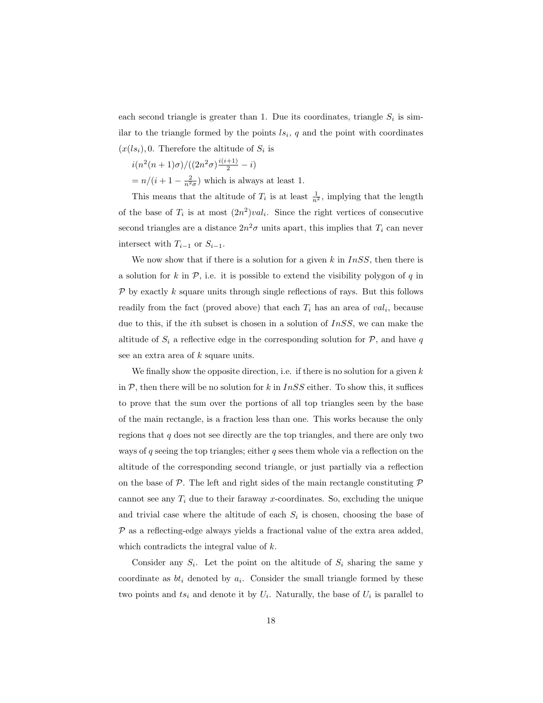each second triangle is greater than 1. Due its coordinates, triangle  $S_i$  is similar to the triangle formed by the points  $ls_i$ , q and the point with coordinates  $(x(ls<sub>i</sub>), 0$ . Therefore the altitude of  $S<sub>i</sub>$  is

$$
i(n^2(n+1)\sigma)/((2n^2\sigma)\frac{i(i+1)}{2}-i)
$$
  
=  $n/(i+1-\frac{2}{n^2\sigma})$  which is always at least 1.

This means that the altitude of  $T_i$  is at least  $\frac{1}{n^2}$ , implying that the length of the base of  $T_i$  is at most  $(2n^2) val_i$ . Since the right vertices of consecutive second triangles are a distance  $2n^2\sigma$  units apart, this implies that  $T_i$  can never intersect with  $T_{i-1}$  or  $S_{i-1}$ .

We now show that if there is a solution for a given k in  $InSS$ , then there is a solution for k in  $P$ , i.e. it is possible to extend the visibility polygon of q in  $P$  by exactly k square units through single reflections of rays. But this follows readily from the fact (proved above) that each  $T_i$  has an area of  $val_i$ , because due to this, if the *i*th subset is chosen in a solution of  $InSS$ , we can make the altitude of  $S_i$  a reflective edge in the corresponding solution for  $P$ , and have q see an extra area of k square units.

We finally show the opposite direction, i.e. if there is no solution for a given  $k$ in  $P$ , then there will be no solution for k in  $InSS$  either. To show this, it suffices to prove that the sum over the portions of all top triangles seen by the base of the main rectangle, is a fraction less than one. This works because the only regions that  $q$  does not see directly are the top triangles, and there are only two ways of q seeing the top triangles; either q sees them whole via a reflection on the altitude of the corresponding second triangle, or just partially via a reflection on the base of  $P$ . The left and right sides of the main rectangle constituting  $P$ cannot see any  $T_i$  due to their faraway x-coordinates. So, excluding the unique and trivial case where the altitude of each  $S_i$  is chosen, choosing the base of  $P$  as a reflecting-edge always yields a fractional value of the extra area added, which contradicts the integral value of  $k$ .

Consider any  $S_i$ . Let the point on the altitude of  $S_i$  sharing the same y coordinate as  $bt_i$  denoted by  $a_i$ . Consider the small triangle formed by these two points and  $ts_i$  and denote it by  $U_i$ . Naturally, the base of  $U_i$  is parallel to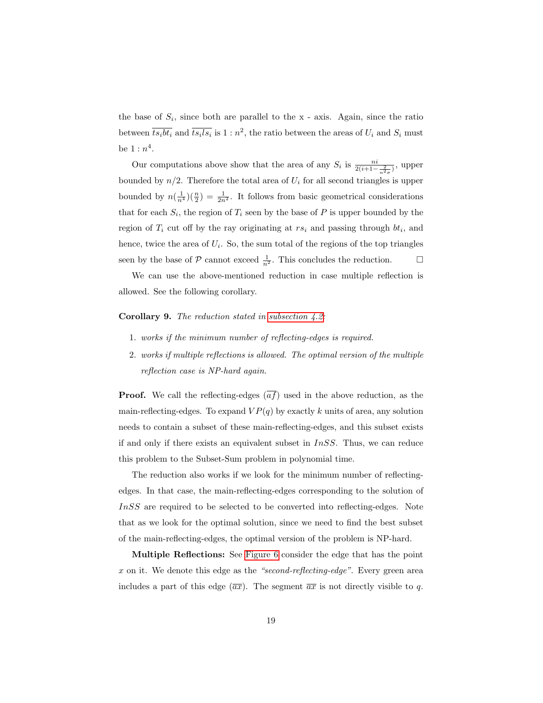the base of  $S_i$ , since both are parallel to the x - axis. Again, since the ratio between  $\overline{ts_ibt_i}$  and  $\overline{ts_ils_i}$  is  $1:n^2$ , the ratio between the areas of  $U_i$  and  $S_i$  must be  $1:n^4$ .

Our computations above show that the area of any  $S_i$  is  $\frac{n i}{2(i+1-\frac{2}{n^2\sigma})}$ , upper bounded by  $n/2$ . Therefore the total area of  $U_i$  for all second triangles is upper bounded by  $n(\frac{1}{n^4})(\frac{n}{2}) = \frac{1}{2n^2}$ . It follows from basic geometrical considerations that for each  $S_i$ , the region of  $T_i$  seen by the base of P is upper bounded by the region of  $T_i$  cut off by the ray originating at  $rs_i$  and passing through  $bt_i$ , and hence, twice the area of  $U_i$ . So, the sum total of the regions of the top triangles seen by the base of  $P$  cannot exceed  $\frac{1}{n^2}$ . This concludes the reduction.  $\Box$ 

We can use the above-mentioned reduction in case multiple reflection is allowed. See the following corollary.

# Corollary 9. The reduction stated in [subsection 4.2:](#page-14-1)

- 1. works if the minimum number of reflecting-edges is required.
- 2. works if multiple reflections is allowed. The optimal version of the multiple reflection case is NP-hard again.

**Proof.** We call the reflecting-edges  $\overline{af}$  used in the above reduction, as the main-reflecting-edges. To expand  $VP(q)$  by exactly k units of area, any solution needs to contain a subset of these main-reflecting-edges, and this subset exists if and only if there exists an equivalent subset in  $InSS$ . Thus, we can reduce this problem to the Subset-Sum problem in polynomial time.

The reduction also works if we look for the minimum number of reflectingedges. In that case, the main-reflecting-edges corresponding to the solution of InSS are required to be selected to be converted into reflecting-edges. Note that as we look for the optimal solution, since we need to find the best subset of the main-reflecting-edges, the optimal version of the problem is NP-hard.

Multiple Reflections: See [Figure 6](#page-19-0) consider the edge that has the point x on it. We denote this edge as the "second-reflecting-edge". Every green area includes a part of this edge  $(\overline{ax})$ . The segment  $\overline{ax}$  is not directly visible to q.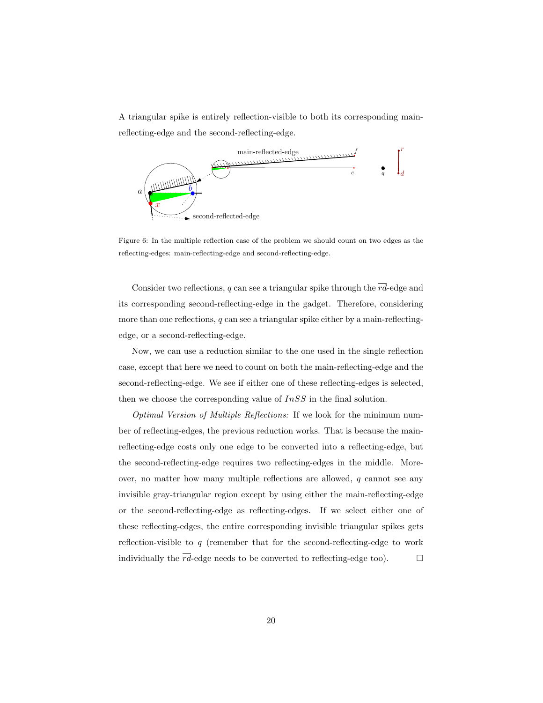A triangular spike is entirely reflection-visible to both its corresponding mainreflecting-edge and the second-reflecting-edge.



<span id="page-19-0"></span>Figure 6: In the multiple reflection case of the problem we should count on two edges as the reflecting-edges: main-reflecting-edge and second-reflecting-edge.

Consider two reflections, q can see a triangular spike through the  $\overline{rd}$ -edge and its corresponding second-reflecting-edge in the gadget. Therefore, considering more than one reflections,  $q$  can see a triangular spike either by a main-reflectingedge, or a second-reflecting-edge.

Now, we can use a reduction similar to the one used in the single reflection case, except that here we need to count on both the main-reflecting-edge and the second-reflecting-edge. We see if either one of these reflecting-edges is selected, then we choose the corresponding value of  $InSS$  in the final solution.

Optimal Version of Multiple Reflections: If we look for the minimum number of reflecting-edges, the previous reduction works. That is because the mainreflecting-edge costs only one edge to be converted into a reflecting-edge, but the second-reflecting-edge requires two reflecting-edges in the middle. Moreover, no matter how many multiple reflections are allowed,  $q$  cannot see any invisible gray-triangular region except by using either the main-reflecting-edge or the second-reflecting-edge as reflecting-edges. If we select either one of these reflecting-edges, the entire corresponding invisible triangular spikes gets reflection-visible to q (remember that for the second-reflecting-edge to work individually the  $\overline{rd}$ -edge needs to be converted to reflecting-edge too).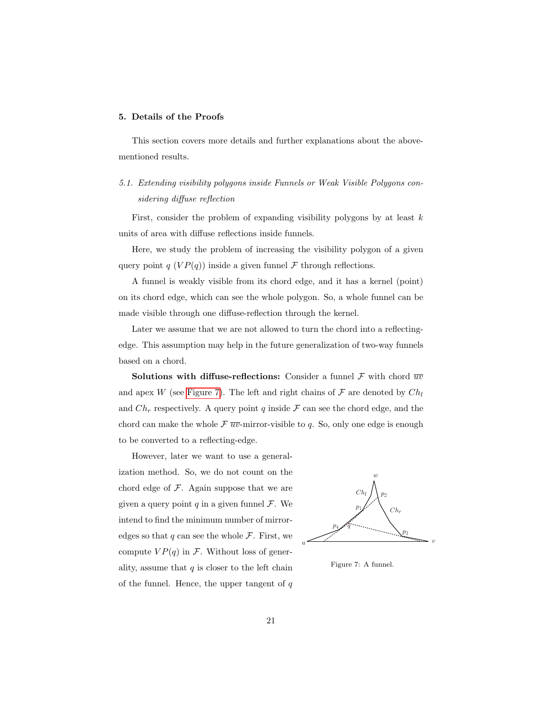# <span id="page-20-0"></span>5. Details of the Proofs

This section covers more details and further explanations about the abovementioned results.

# <span id="page-20-1"></span>5.1. Extending visibility polygons inside Funnels or Weak Visible Polygons considering diffuse reflection

First, consider the problem of expanding visibility polygons by at least  $k$ units of area with diffuse reflections inside funnels.

Here, we study the problem of increasing the visibility polygon of a given query point q  $(VP(q))$  inside a given funnel F through reflections.

A funnel is weakly visible from its chord edge, and it has a kernel (point) on its chord edge, which can see the whole polygon. So, a whole funnel can be made visible through one diffuse-reflection through the kernel.

Later we assume that we are not allowed to turn the chord into a reflectingedge. This assumption may help in the future generalization of two-way funnels based on a chord.

Solutions with diffuse-reflections: Consider a funnel  $\mathcal F$  with chord  $\overline{uv}$ and apex W (see [Figure 7\)](#page-20-2). The left and right chains of  $\mathcal F$  are denoted by  $Ch_l$ and  $Ch_r$  respectively. A query point q inside  $\mathcal F$  can see the chord edge, and the chord can make the whole  $\mathcal{F} \overline{uv}$ -mirror-visible to q. So, only one edge is enough to be converted to a reflecting-edge.

However, later we want to use a generalization method. So, we do not count on the chord edge of  $F$ . Again suppose that we are given a query point  $q$  in a given funnel  $\mathcal{F}$ . We intend to find the minimum number of mirroredges so that  $q$  can see the whole  $\mathcal F$ . First, we compute  $VP(q)$  in F. Without loss of generality, assume that  $q$  is closer to the left chain of the funnel. Hence, the upper tangent of  $q$ 



<span id="page-20-2"></span>Figure 7: A funnel.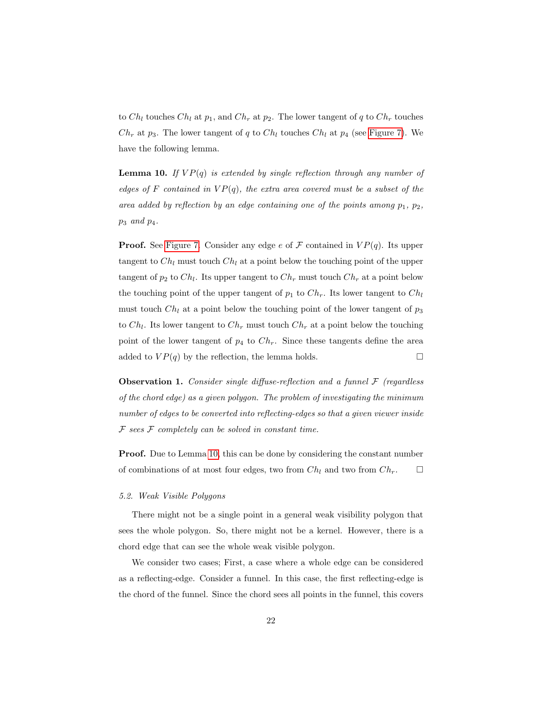to  $Ch_l$  touches  $Ch_l$  at  $p_1$ , and  $Ch_r$  at  $p_2$ . The lower tangent of q to  $Ch_r$  touches  $Ch_r$  at  $p_3$ . The lower tangent of q to  $Ch_l$  touches  $Ch_l$  at  $p_4$  (see [Figure 7\)](#page-20-2). We have the following lemma.

<span id="page-21-0"></span>**Lemma 10.** If  $VP(q)$  is extended by single reflection through any number of edges of F contained in  $VP(q)$ , the extra area covered must be a subset of the area added by reflection by an edge containing one of the points among  $p_1, p_2,$  $p_3$  and  $p_4$ .

**Proof.** See [Figure 7.](#page-20-2) Consider any edge e of F contained in  $VP(q)$ . Its upper tangent to  $Ch_l$  must touch  $Ch_l$  at a point below the touching point of the upper tangent of  $p_2$  to  $Ch_l$ . Its upper tangent to  $Ch_r$  must touch  $Ch_r$  at a point below the touching point of the upper tangent of  $p_1$  to  $Ch_r$ . Its lower tangent to  $Ch_l$ must touch  $Ch_l$  at a point below the touching point of the lower tangent of  $p_3$ to  $Ch_l$ . Its lower tangent to  $Ch_r$  must touch  $Ch_r$  at a point below the touching point of the lower tangent of  $p_4$  to  $Ch_r$ . Since these tangents define the area added to  $VP(q)$  by the reflection, the lemma holds.

**Observation 1.** Consider single diffuse-reflection and a funnel  $\mathcal F$  (regardless of the chord edge) as a given polygon. The problem of investigating the minimum number of edges to be converted into reflecting-edges so that a given viewer inside  $F$  sees  $F$  completely can be solved in constant time.

Proof. Due to Lemma [10,](#page-21-0) this can be done by considering the constant number of combinations of at most four edges, two from  $Ch_l$  and two from  $Ch_r$ .  $\Box$ 

### 5.2. Weak Visible Polygons

There might not be a single point in a general weak visibility polygon that sees the whole polygon. So, there might not be a kernel. However, there is a chord edge that can see the whole weak visible polygon.

We consider two cases; First, a case where a whole edge can be considered as a reflecting-edge. Consider a funnel. In this case, the first reflecting-edge is the chord of the funnel. Since the chord sees all points in the funnel, this covers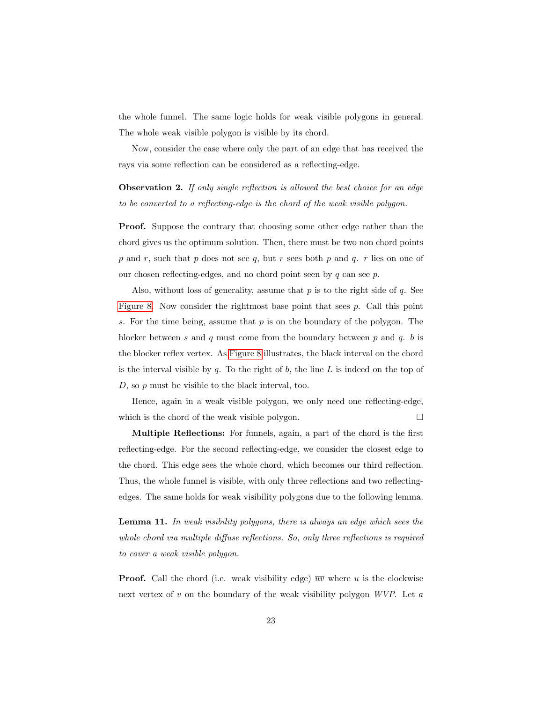the whole funnel. The same logic holds for weak visible polygons in general. The whole weak visible polygon is visible by its chord.

Now, consider the case where only the part of an edge that has received the rays via some reflection can be considered as a reflecting-edge.

**Observation 2.** If only single reflection is allowed the best choice for an edge to be converted to a reflecting-edge is the chord of the weak visible polygon.

Proof. Suppose the contrary that choosing some other edge rather than the chord gives us the optimum solution. Then, there must be two non chord points p and r, such that p does not see q, but r sees both p and q. r lies on one of our chosen reflecting-edges, and no chord point seen by  $q$  can see  $p$ .

Also, without loss of generality, assume that p is to the right side of q. See [Figure 8.](#page-23-0) Now consider the rightmost base point that sees  $p$ . Call this point s. For the time being, assume that  $p$  is on the boundary of the polygon. The blocker between s and q must come from the boundary between  $p$  and  $q$ . b is the blocker reflex vertex. As [Figure 8](#page-23-0) illustrates, the black interval on the chord is the interval visible by  $q$ . To the right of  $b$ , the line  $L$  is indeed on the top of  $D$ , so  $p$  must be visible to the black interval, too.

Hence, again in a weak visible polygon, we only need one reflecting-edge, which is the chord of the weak visible polygon.  $\Box$ 

Multiple Reflections: For funnels, again, a part of the chord is the first reflecting-edge. For the second reflecting-edge, we consider the closest edge to the chord. This edge sees the whole chord, which becomes our third reflection. Thus, the whole funnel is visible, with only three reflections and two reflectingedges. The same holds for weak visibility polygons due to the following lemma.

Lemma 11. In weak visibility polygons, there is always an edge which sees the whole chord via multiple diffuse reflections. So, only three reflections is required to cover a weak visible polygon.

**Proof.** Call the chord (i.e. weak visibility edge)  $\overline{uv}$  where u is the clockwise next vertex of  $v$  on the boundary of the weak visibility polygon  $WVP$ . Let  $a$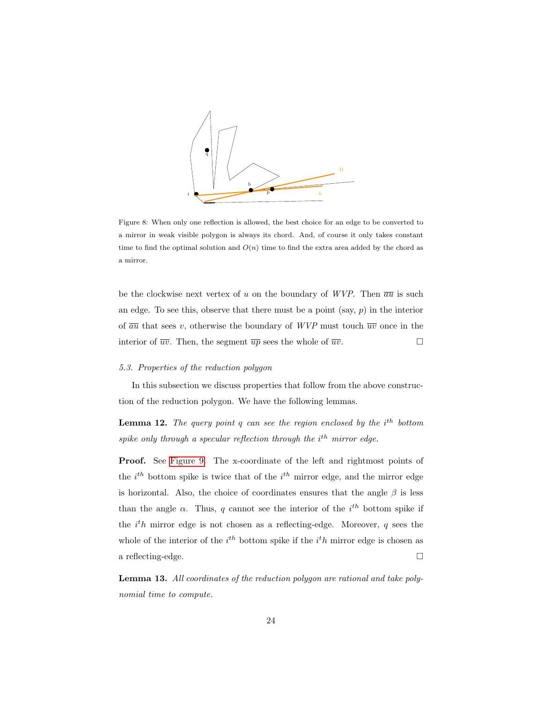

<span id="page-23-0"></span>Figure 8: When only one reflection is allowed, the best choice for an edge to be converted to a mirror in weak visible polygon is always its chord. And, of course it only takes constant time to find the optimal solution and  $O(n)$  time to find the extra area added by the chord as a mirror.

be the clockwise next vertex of u on the boundary of WVP. Then  $\overline{au}$  is such an edge. To see this, observe that there must be a point (say,  $p$ ) in the interior of  $\overline{au}$  that sees v, otherwise the boundary of WVP must touch  $\overline{uv}$  once in the interior of  $\overline{uv}$ . Then, the segment  $\overline{up}$  sees the whole of  $\overline{uv}$ .

### <span id="page-23-1"></span>5.3. Properties of the reduction polygon

<span id="page-23-2"></span>In this subsection we discuss properties that follow from the above construction of the reduction polygon. We have the following lemmas.

**Lemma 12.** The query point q can see the region enclosed by the  $i^{th}$  bottom spike only through a specular reflection through the  $i<sup>th</sup>$  mirror edge.

Proof. See [Figure 9.](#page-24-0) The x-coordinate of the left and rightmost points of the  $i^{th}$  bottom spike is twice that of the  $i^{th}$  mirror edge, and the mirror edge is horizontal. Also, the choice of coordinates ensures that the angle  $\beta$  is less than the angle  $\alpha$ . Thus, q cannot see the interior of the i<sup>th</sup> bottom spike if the  $i^th$  mirror edge is not chosen as a reflecting-edge. Moreover, q sees the whole of the interior of the  $i<sup>th</sup>$  bottom spike if the  $i<sup>th</sup>$  mirror edge is chosen as a reflecting-edge.

<span id="page-23-3"></span>Lemma 13. All coordinates of the reduction polygon are rational and take polynomial time to compute.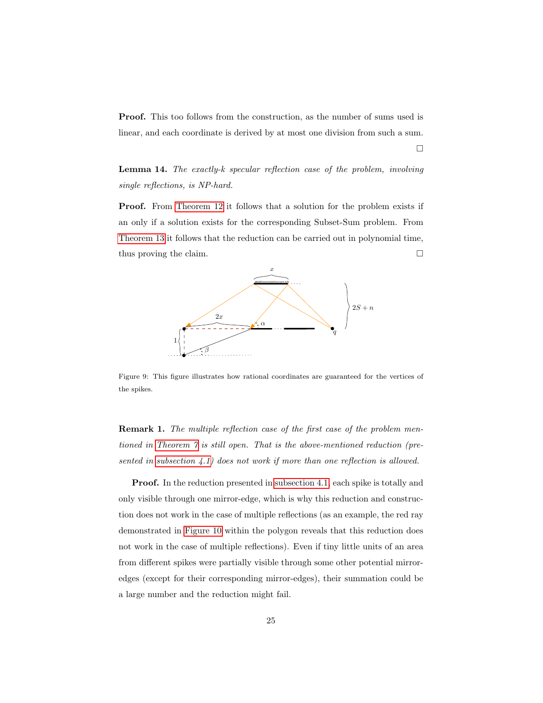Proof. This too follows from the construction, as the number of sums used is linear, and each coordinate is derived by at most one division from such a sum.

 $\Box$ 

Lemma 14. The exactly-k specular reflection case of the problem, involving single reflections, is NP-hard.

Proof. From [Theorem 12](#page-23-2) it follows that a solution for the problem exists if an only if a solution exists for the corresponding Subset-Sum problem. From [Theorem 13](#page-23-3) it follows that the reduction can be carried out in polynomial time, thus proving the claim.



<span id="page-24-0"></span>Figure 9: This figure illustrates how rational coordinates are guaranteed for the vertices of the spikes.

Remark 1. The multiple reflection case of the first case of the problem mentioned in [Theorem 7](#page-12-1) is still open. That is the above-mentioned reduction (presented in [subsection 4.1\)](#page-13-0) does not work if more than one reflection is allowed.

Proof. In the reduction presented in [subsection 4.1,](#page-13-0) each spike is totally and only visible through one mirror-edge, which is why this reduction and construction does not work in the case of multiple reflections (as an example, the red ray demonstrated in [Figure 10](#page-25-1) within the polygon reveals that this reduction does not work in the case of multiple reflections). Even if tiny little units of an area from different spikes were partially visible through some other potential mirroredges (except for their corresponding mirror-edges), their summation could be a large number and the reduction might fail.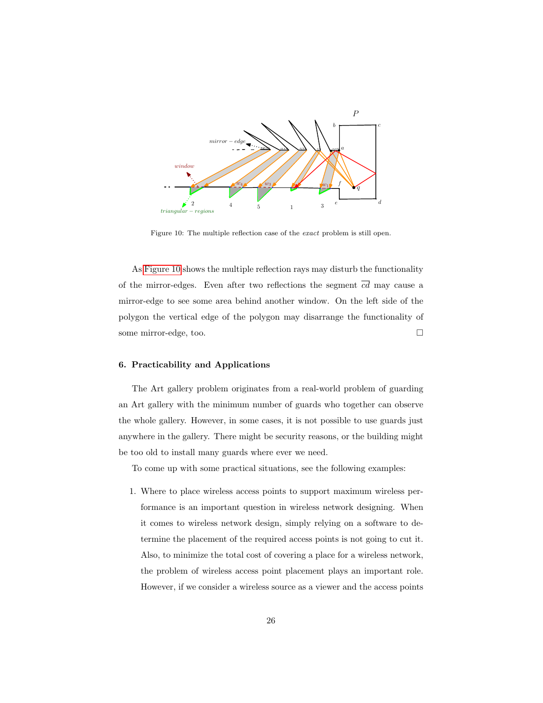

<span id="page-25-1"></span>Figure 10: The multiple reflection case of the exact problem is still open.

As [Figure 10](#page-25-1) shows the multiple reflection rays may disturb the functionality of the mirror-edges. Even after two reflections the segment  $\overline{cd}$  may cause a mirror-edge to see some area behind another window. On the left side of the polygon the vertical edge of the polygon may disarrange the functionality of some mirror-edge, too.

# <span id="page-25-0"></span>6. Practicability and Applications

The Art gallery problem originates from a real-world problem of guarding an Art gallery with the minimum number of guards who together can observe the whole gallery. However, in some cases, it is not possible to use guards just anywhere in the gallery. There might be security reasons, or the building might be too old to install many guards where ever we need.

To come up with some practical situations, see the following examples:

1. Where to place wireless access points to support maximum wireless performance is an important question in wireless network designing. When it comes to wireless network design, simply relying on a software to determine the placement of the required access points is not going to cut it. Also, to minimize the total cost of covering a place for a wireless network, the problem of wireless access point placement plays an important role. However, if we consider a wireless source as a viewer and the access points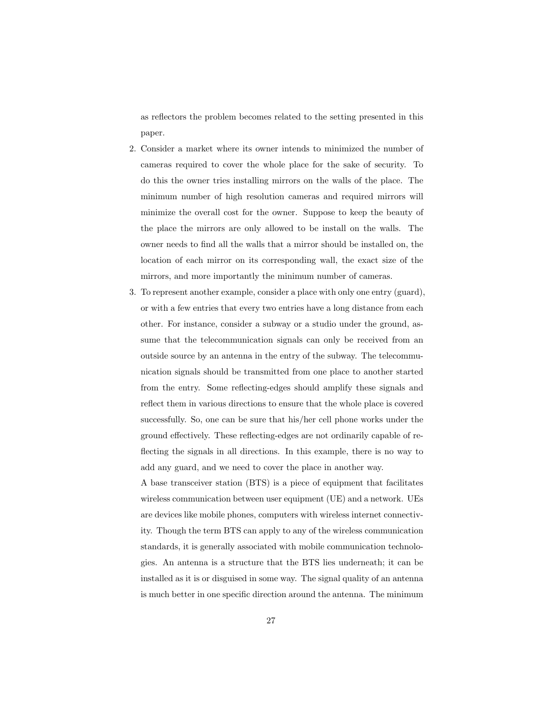as reflectors the problem becomes related to the setting presented in this paper.

- 2. Consider a market where its owner intends to minimized the number of cameras required to cover the whole place for the sake of security. To do this the owner tries installing mirrors on the walls of the place. The minimum number of high resolution cameras and required mirrors will minimize the overall cost for the owner. Suppose to keep the beauty of the place the mirrors are only allowed to be install on the walls. The owner needs to find all the walls that a mirror should be installed on, the location of each mirror on its corresponding wall, the exact size of the mirrors, and more importantly the minimum number of cameras.
- 3. To represent another example, consider a place with only one entry (guard), or with a few entries that every two entries have a long distance from each other. For instance, consider a subway or a studio under the ground, assume that the telecommunication signals can only be received from an outside source by an antenna in the entry of the subway. The telecommunication signals should be transmitted from one place to another started from the entry. Some reflecting-edges should amplify these signals and reflect them in various directions to ensure that the whole place is covered successfully. So, one can be sure that his/her cell phone works under the ground effectively. These reflecting-edges are not ordinarily capable of reflecting the signals in all directions. In this example, there is no way to add any guard, and we need to cover the place in another way.

A base transceiver station (BTS) is a piece of equipment that facilitates wireless communication between user equipment (UE) and a network. UEs are devices like mobile phones, computers with wireless internet connectivity. Though the term BTS can apply to any of the wireless communication standards, it is generally associated with mobile communication technologies. An antenna is a structure that the BTS lies underneath; it can be installed as it is or disguised in some way. The signal quality of an antenna is much better in one specific direction around the antenna. The minimum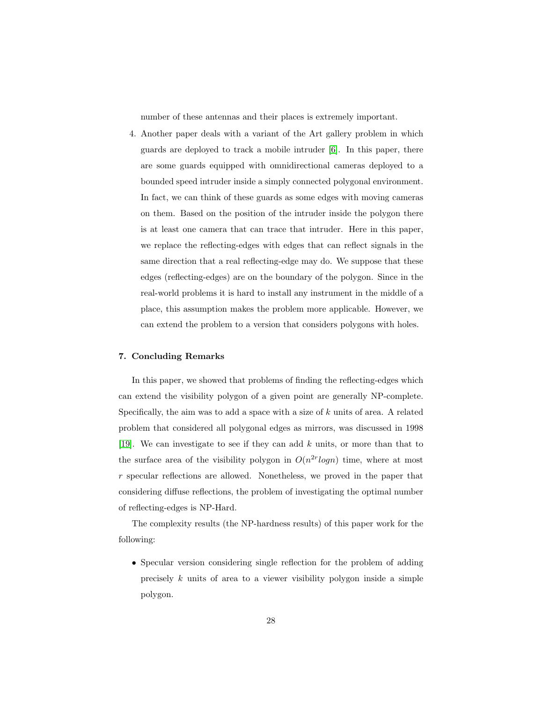number of these antennas and their places is extremely important.

4. Another paper deals with a variant of the Art gallery problem in which guards are deployed to track a mobile intruder [\[6\]](#page-29-7). In this paper, there are some guards equipped with omnidirectional cameras deployed to a bounded speed intruder inside a simply connected polygonal environment. In fact, we can think of these guards as some edges with moving cameras on them. Based on the position of the intruder inside the polygon there is at least one camera that can trace that intruder. Here in this paper, we replace the reflecting-edges with edges that can reflect signals in the same direction that a real reflecting-edge may do. We suppose that these edges (reflecting-edges) are on the boundary of the polygon. Since in the real-world problems it is hard to install any instrument in the middle of a place, this assumption makes the problem more applicable. However, we can extend the problem to a version that considers polygons with holes.

# <span id="page-27-0"></span>7. Concluding Remarks

In this paper, we showed that problems of finding the reflecting-edges which can extend the visibility polygon of a given point are generally NP-complete. Specifically, the aim was to add a space with a size of  $k$  units of area. A related problem that considered all polygonal edges as mirrors, was discussed in 1998 [\[19\]](#page-30-4). We can investigate to see if they can add  $k$  units, or more than that to the surface area of the visibility polygon in  $O(n^{2r} \log n)$  time, where at most r specular reflections are allowed. Nonetheless, we proved in the paper that considering diffuse reflections, the problem of investigating the optimal number of reflecting-edges is NP-Hard.

The complexity results (the NP-hardness results) of this paper work for the following:

• Specular version considering single reflection for the problem of adding precisely  $k$  units of area to a viewer visibility polygon inside a simple polygon.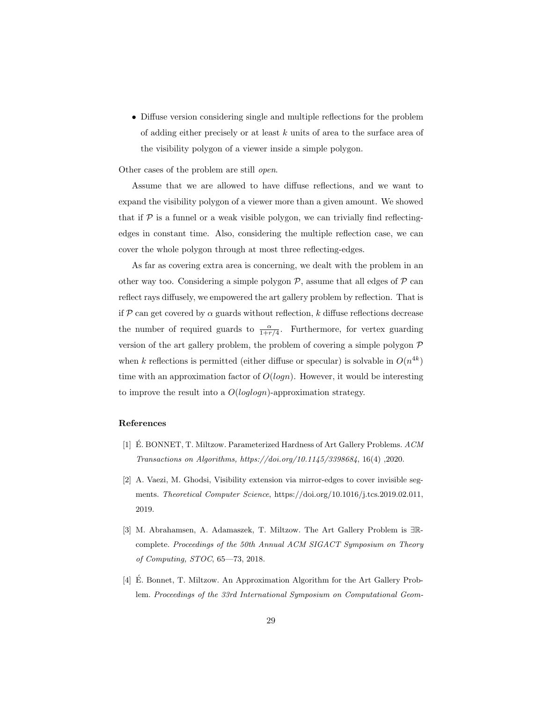• Diffuse version considering single and multiple reflections for the problem of adding either precisely or at least k units of area to the surface area of the visibility polygon of a viewer inside a simple polygon.

Other cases of the problem are still open.

Assume that we are allowed to have diffuse reflections, and we want to expand the visibility polygon of a viewer more than a given amount. We showed that if  $\mathcal P$  is a funnel or a weak visible polygon, we can trivially find reflectingedges in constant time. Also, considering the multiple reflection case, we can cover the whole polygon through at most three reflecting-edges.

As far as covering extra area is concerning, we dealt with the problem in an other way too. Considering a simple polygon  $P$ , assume that all edges of  $P$  can reflect rays diffusely, we empowered the art gallery problem by reflection. That is if P can get covered by  $\alpha$  guards without reflection, k diffuse reflections decrease the number of required guards to  $\frac{\alpha}{1+r/4}$ . Furthermore, for vertex guarding version of the art gallery problem, the problem of covering a simple polygon  $P$ when k reflections is permitted (either diffuse or specular) is solvable in  $O(n^{4k})$ time with an approximation factor of  $O(logn)$ . However, it would be interesting to improve the result into a  $O(loglogn)$ -approximation strategy.

## References

- <span id="page-28-1"></span>[1]  $\acute{E}$ . BONNET, T. Miltzow. Parameterized Hardness of Art Gallery Problems.  $ACM$ Transactions on Algorithms, https://doi.org/10.1145/3398684, 16(4) ,2020.
- <span id="page-28-3"></span>[2] A. Vaezi, M. Ghodsi, Visibility extension via mirror-edges to cover invisible segments. Theoretical Computer Science, https://doi.org/10.1016/j.tcs.2019.02.011, 2019.
- <span id="page-28-2"></span>[3] M. Abrahamsen, A. Adamaszek, T. Miltzow. The Art Gallery Problem is ∃Rcomplete. Proceedings of the 50th Annual ACM SIGACT Symposium on Theory of Computing, STOC, 65—73, 2018.
- <span id="page-28-0"></span>[4] É. Bonnet, T. Miltzow. An Approximation Algorithm for the Art Gallery Problem. Proceedings of the 33rd International Symposium on Computational Geom-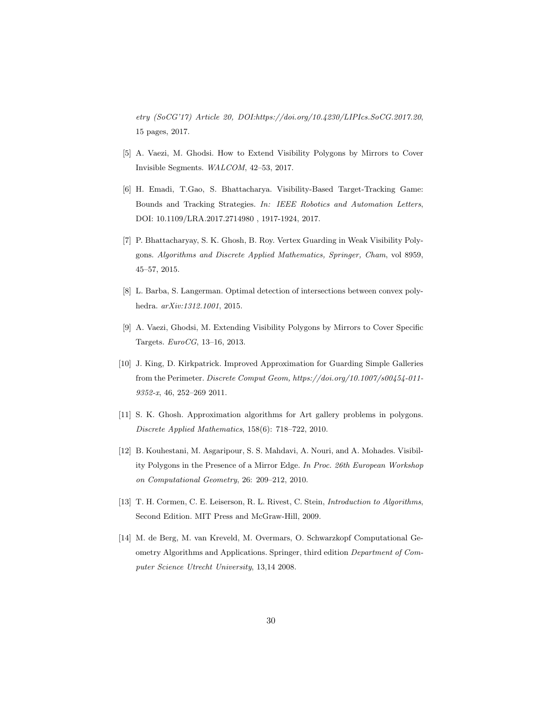etry (SoCG'17) Article 20, DOI:https://doi.org/10.4230/LIPIcs.SoCG.2017.20, 15 pages, 2017.

- <span id="page-29-4"></span>[5] A. Vaezi, M. Ghodsi. How to Extend Visibility Polygons by Mirrors to Cover Invisible Segments. WALCOM, 42–53, 2017.
- <span id="page-29-7"></span>[6] H. Emadi, T.Gao, S. Bhattacharya. Visibility-Based Target-Tracking Game: Bounds and Tracking Strategies. In: IEEE Robotics and Automation Letters, DOI: 10.1109/LRA.2017.2714980 , 1917-1924, 2017.
- <span id="page-29-3"></span>[7] P. Bhattacharyay, S. K. Ghosh, B. Roy. Vertex Guarding in Weak Visibility Polygons. Algorithms and Discrete Applied Mathematics, Springer, Cham, vol 8959, 45–57, 2015.
- [8] L. Barba, S. Langerman. Optimal detection of intersections between convex polyhedra. arXiv:1312.1001, 2015.
- <span id="page-29-5"></span>[9] A. Vaezi, Ghodsi, M. Extending Visibility Polygons by Mirrors to Cover Specific Targets. EuroCG, 13–16, 2013.
- <span id="page-29-2"></span>[10] J. King, D. Kirkpatrick. Improved Approximation for Guarding Simple Galleries from the Perimeter. Discrete Comput Geom, https://doi.org/10.1007/s00454-011- 9352-x, 46, 252–269 2011.
- <span id="page-29-6"></span>[11] S. K. Ghosh. Approximation algorithms for Art gallery problems in polygons. Discrete Applied Mathematics, 158(6): 718–722, 2010.
- <span id="page-29-0"></span>[12] B. Kouhestani, M. Asgaripour, S. S. Mahdavi, A. Nouri, and A. Mohades. Visibility Polygons in the Presence of a Mirror Edge. In Proc. 26th European Workshop on Computational Geometry, 26: 209–212, 2010.
- [13] T. H. Cormen, C. E. Leiserson, R. L. Rivest, C. Stein, Introduction to Algorithms, Second Edition. MIT Press and McGraw-Hill, 2009.
- <span id="page-29-1"></span>[14] M. de Berg, M. van Kreveld, M. Overmars, O. Schwarzkopf Computational Geometry Algorithms and Applications. Springer, third edition Department of Computer Science Utrecht University, 13,14 2008.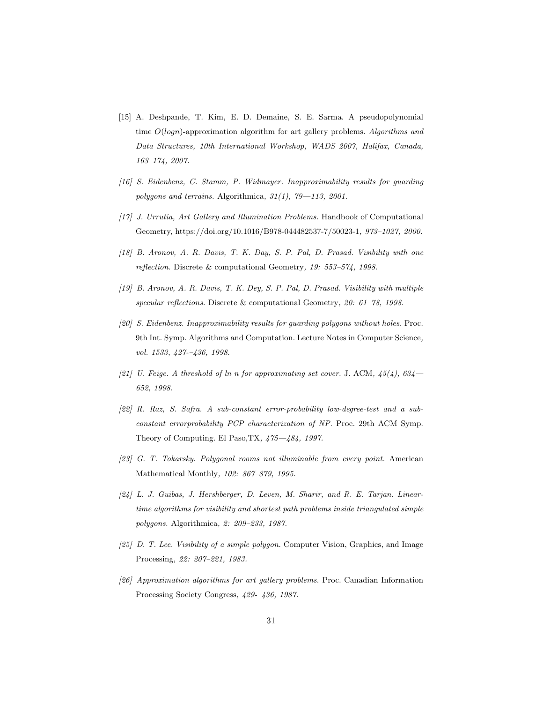- <span id="page-30-11"></span>[15] A. Deshpande, T. Kim, E. D. Demaine, S. E. Sarma. A pseudopolynomial time  $O(logn)$ -approximation algorithm for art gallery problems. Algorithms and Data Structures, 10th International Workshop, WADS 2007, Halifax, Canada, 163–174, 2007.
- <span id="page-30-7"></span>[16] S. Eidenbenz, C. Stamm, P. Widmayer. Inapproximability results for guarding polygons and terrains. Algorithmica,  $31(1)$ ,  $79-113$ ,  $2001$ .
- <span id="page-30-5"></span>[17] J. Urrutia, Art Gallery and Illumination Problems. Handbook of Computational Geometry, https://doi.org/10.1016/B978-044482537-7/50023-1, 973–1027, 2000.
- <span id="page-30-3"></span>[18] B. Aronov, A. R. Davis, T. K. Day, S. P. Pal, D. Prasad. Visibility with one reflection. Discrete & computational Geometry, 19: 553–574, 1998.
- <span id="page-30-4"></span>[19] B. Aronov, A. R. Davis, T. K. Dey, S. P. Pal, D. Prasad. Visibility with multiple specular reflections. Discrete & computational Geometry, 20: 61–78, 1998.
- <span id="page-30-6"></span>[20] S. Eidenbenz. Inapproximability results for guarding polygons without holes. Proc. 9th Int. Symp. Algorithms and Computation. Lecture Notes in Computer Science, vol. 1533, 427--436, 1998.
- <span id="page-30-8"></span>[21] U. Feige. A threshold of ln n for approximating set cover. J. ACM,  $45(4)$ ,  $634-$ 652, 1998.
- <span id="page-30-9"></span>[22] R. Raz, S. Safra. A sub-constant error-probability low-degree-test and a subconstant errorprobability PCP characterization of NP. Proc. 29th ACM Symp. Theory of Computing. El Paso,TX, 475—484, 1997.
- <span id="page-30-2"></span>[23] G. T. Tokarsky. Polygonal rooms not illuminable from every point. American Mathematical Monthly, 102: 867–879, 1995.
- <span id="page-30-0"></span>[24] L. J. Guibas, J. Hershberger, D. Leven, M. Sharir, and R. E. Tarjan. Lineartime algorithms for visibility and shortest path problems inside triangulated simple polygons. Algorithmica, 2: 209–233, 1987.
- <span id="page-30-1"></span> $[25]$  D. T. Lee. Visibility of a simple polygon. Computer Vision, Graphics, and Image Processing, 22: 207–221, 1983.
- <span id="page-30-10"></span>[26] Approximation algorithms for art gallery problems. Proc. Canadian Information Processing Society Congress, 429-–436, 1987.